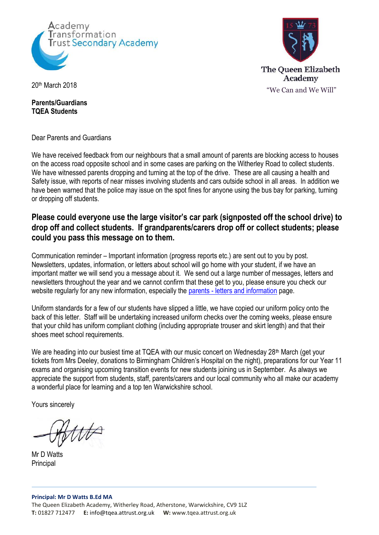



#### **Parents/Guardians TQEA Students**

Dear Parents and Guardians

We have received feedback from our neighbours that a small amount of parents are blocking access to houses on the access road opposite school and in some cases are parking on the Witherley Road to collect students. We have witnessed parents dropping and turning at the top of the drive. These are all causing a health and Safety issue, with reports of near misses involving students and cars outside school in all areas. In addition we have been warned that the police may issue on the spot fines for anyone using the bus bay for parking, turning or dropping off students.

# **Please could everyone use the large visitor's car park (signposted off the school drive) to drop off and collect students. If grandparents/carers drop off or collect students; please could you pass this message on to them.**

Communication reminder – Important information (progress reports etc.) are sent out to you by post. Newsletters, updates, information, or letters about school will go home with your student, if we have an important matter we will send you a message about it. We send out a large number of messages, letters and newsletters throughout the year and we cannot confirm that these get to you, please ensure you check our website regularly for any new information, especially the parents - letters [and information](http://tqea.attrust.org.uk/parents/letters-to-parents/) page.

Uniform standards for a few of our students have slipped a little, we have copied our uniform policy onto the back of this letter. Staff will be undertaking increased uniform checks over the coming weeks, please ensure that your child has uniform compliant clothing (including appropriate trouser and skirt length) and that their shoes meet school requirements.

We are heading into our busiest time at TQEA with our music concert on Wednesday 28<sup>th</sup> March (get your tickets from Mrs Deeley, donations to Birmingham Children's Hospital on the night), preparations for our Year 11 exams and organising upcoming transition events for new students joining us in September. As always we appreciate the support from students, staff, parents/carers and our local community who all make our academy a wonderful place for learning and a top ten Warwickshire school.

Yours sincerely

Mr D Watts **Principal**